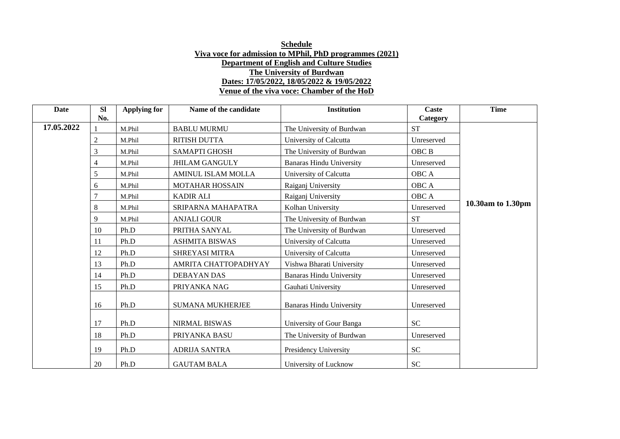| Date       | <b>SI</b><br>No. | Applying for | Name of the candidate     | <b>Institution</b>              | Caste      | <b>Time</b>       |
|------------|------------------|--------------|---------------------------|---------------------------------|------------|-------------------|
|            |                  |              |                           |                                 | Category   |                   |
| 17.05.2022 |                  | M.Phil       | <b>BABLU MURMU</b>        | The University of Burdwan       | <b>ST</b>  |                   |
|            | 2                | M.Phil       | <b>RITISH DUTTA</b>       | University of Calcutta          | Unreserved |                   |
|            | 3                | M.Phil       | <b>SAMAPTI GHOSH</b>      | The University of Burdwan       | OBC B      |                   |
|            | $\overline{4}$   | M.Phil       | <b>JHILAM GANGULY</b>     | <b>Banaras Hindu University</b> | Unreserved |                   |
|            | 5                | M.Phil       | <b>AMINUL ISLAM MOLLA</b> | University of Calcutta          | OBC A      |                   |
|            | 6                | M.Phil       | <b>MOTAHAR HOSSAIN</b>    | Raiganj University              | OBC A      |                   |
|            |                  | M.Phil       | <b>KADIR ALI</b>          | Raiganj University              | OBC A      |                   |
|            | 8                | M.Phil       | SRIPARNA MAHAPATRA        | Kolhan University               | Unreserved | 10.30am to 1.30pm |
|            | 9                | M.Phil       | <b>ANJALI GOUR</b>        | The University of Burdwan       | <b>ST</b>  |                   |
|            | 10               | Ph.D         | PRITHA SANYAL             | The University of Burdwan       | Unreserved |                   |
|            | 11               | Ph.D         | <b>ASHMITA BISWAS</b>     | University of Calcutta          | Unreserved |                   |
|            | 12               | Ph.D         | SHREYASI MITRA            | University of Calcutta          | Unreserved |                   |
|            | 13               | Ph.D         | AMRITA CHATTOPADHYAY      | Vishwa Bharati University       | Unreserved |                   |
|            | 14               | Ph.D         | <b>DEBAYAN DAS</b>        | <b>Banaras Hindu University</b> | Unreserved |                   |
|            | 15               | Ph.D         | PRIYANKA NAG              | Gauhati University              | Unreserved |                   |
|            | 16               | Ph.D         | <b>SUMANA MUKHERJEE</b>   | <b>Banaras Hindu University</b> | Unreserved |                   |
|            | 17               | Ph.D         | <b>NIRMAL BISWAS</b>      | University of Gour Banga        | <b>SC</b>  |                   |
|            | 18               | Ph.D         | PRIYANKA BASU             | The University of Burdwan       | Unreserved |                   |
|            | 19               | Ph.D         | <b>ADRIJA SANTRA</b>      | Presidency University           | <b>SC</b>  |                   |
|            | 20               | Ph.D         | <b>GAUTAM BALA</b>        | University of Lucknow           | <b>SC</b>  |                   |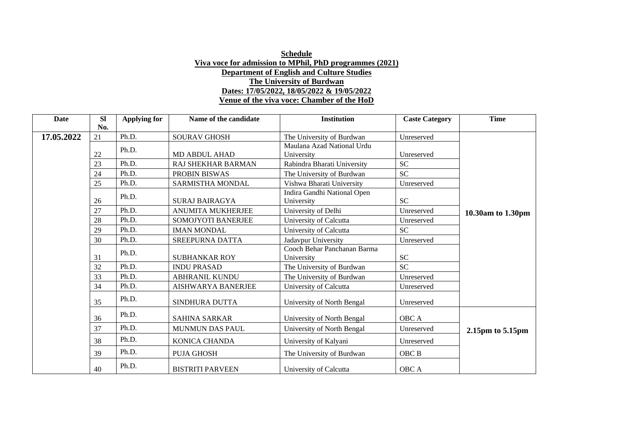| Date       | <b>SI</b> | <b>Applying for</b> | Name of the candidate     | <b>Institution</b>                        | <b>Caste Category</b> | <b>Time</b>       |
|------------|-----------|---------------------|---------------------------|-------------------------------------------|-----------------------|-------------------|
|            | No.       |                     |                           |                                           |                       |                   |
| 17.05.2022 | 21        | Ph.D.               | <b>SOURAV GHOSH</b>       | The University of Burdwan                 | Unreserved            |                   |
|            |           | Ph.D.               |                           | Maulana Azad National Urdu                |                       |                   |
|            | 22        |                     | <b>MD ABDUL AHAD</b>      | University                                | Unreserved            |                   |
|            | 23        | Ph.D.               | <b>RAJ SHEKHAR BARMAN</b> | Rabindra Bharati University               | <b>SC</b>             |                   |
|            | 24        | Ph.D.               | PROBIN BISWAS             | The University of Burdwan                 | <b>SC</b>             |                   |
|            | 25        | Ph.D.               | SARMISTHA MONDAL          | Vishwa Bharati University                 | Unreserved            |                   |
|            | 26        | Ph.D.               | <b>SURAJ BAIRAGYA</b>     | Indira Gandhi National Open<br>University | <b>SC</b>             |                   |
|            | 27        | Ph.D.               | <b>ANUMITA MUKHERJEE</b>  | University of Delhi                       | Unreserved            | 10.30am to 1.30pm |
|            | 28        | Ph.D.               | SOMOJYOTI BANERJEE        | University of Calcutta                    | Unreserved            |                   |
|            | 29        | Ph.D.               | <b>IMAN MONDAL</b>        | University of Calcutta                    | <b>SC</b>             |                   |
|            | 30        | Ph.D.               | <b>SREEPURNA DATTA</b>    | Jadavpur University                       | Unreserved            |                   |
|            | 31        | Ph.D.               | <b>SUBHANKAR ROY</b>      | Cooch Behar Panchanan Barma<br>University | <b>SC</b>             |                   |
|            | 32        | Ph.D.               | <b>INDU PRASAD</b>        | The University of Burdwan                 | <b>SC</b>             |                   |
|            | 33        | Ph.D.               | <b>ABHRANIL KUNDU</b>     | The University of Burdwan                 | Unreserved            |                   |
|            | 34        | Ph.D.               | <b>AISHWARYA BANERJEE</b> | University of Calcutta                    | Unreserved            |                   |
|            | 35        | Ph.D.               | SINDHURA DUTTA            | University of North Bengal                | Unreserved            |                   |
|            | 36        | Ph.D.               | <b>SAHINA SARKAR</b>      | University of North Bengal                | OBC A                 |                   |
|            | 37        | Ph.D.               | MUNMUN DAS PAUL           | University of North Bengal                | Unreserved            | 2.15pm to 5.15pm  |
|            | 38        | Ph.D.               | <b>KONICA CHANDA</b>      | University of Kalyani                     | Unreserved            |                   |
|            | 39        | Ph.D.               | <b>PUJA GHOSH</b>         | The University of Burdwan                 | OBC <sub>B</sub>      |                   |
|            | 40        | Ph.D.               | <b>BISTRITI PARVEEN</b>   | University of Calcutta                    | OBC A                 |                   |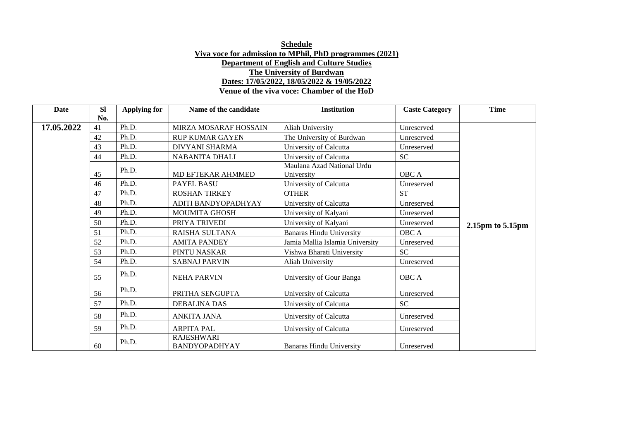| Date       | <b>SI</b> | <b>Applying for</b> | Name of the candidate                     | <b>Institution</b>                       | <b>Caste Category</b> | <b>Time</b>      |
|------------|-----------|---------------------|-------------------------------------------|------------------------------------------|-----------------------|------------------|
|            | No.       |                     |                                           |                                          |                       |                  |
| 17.05.2022 | 41        | Ph.D.               | <b>MIRZA MOSARAF HOSSAIN</b>              | Aliah University                         | Unreserved            |                  |
|            | 42        | Ph.D.               | <b>RUP KUMAR GAYEN</b>                    | The University of Burdwan                | Unreserved            |                  |
|            | 43        | Ph.D.               | <b>DIVYANI SHARMA</b>                     | University of Calcutta                   | Unreserved            |                  |
|            | 44        | Ph.D.               | <b>NABANITA DHALI</b>                     | University of Calcutta                   | <b>SC</b>             |                  |
|            | 45        | Ph.D.               | MD EFTEKAR AHMMED                         | Maulana Azad National Urdu<br>University | OBC A                 |                  |
|            | 46        | Ph.D.               | PAYEL BASU                                | University of Calcutta                   | Unreserved            |                  |
|            | 47        | Ph.D.               | <b>ROSHAN TIRKEY</b>                      | <b>OTHER</b>                             | <b>ST</b>             |                  |
|            | 48        | Ph.D.               | ADITI BANDYOPADHYAY                       | University of Calcutta                   | Unreserved            |                  |
|            | 49        | Ph.D.               | <b>MOUMITA GHOSH</b>                      | University of Kalyani                    | Unreserved            |                  |
|            | 50        | Ph.D.               | PRIYA TRIVEDI                             | University of Kalyani                    | Unreserved            | 2.15pm to 5.15pm |
|            | 51        | Ph.D.               | RAISHA SULTANA                            | <b>Banaras Hindu University</b>          | OBC A                 |                  |
|            | 52        | Ph.D.               | <b>AMITA PANDEY</b>                       | Jamia Mallia Islamia University          | Unreserved            |                  |
|            | 53        | Ph.D.               | PINTU NASKAR                              | Vishwa Bharati University                | <b>SC</b>             |                  |
|            | 54        | Ph.D.               | <b>SABNAJ PARVIN</b>                      | Aliah University                         | Unreserved            |                  |
|            | 55        | Ph.D.               | <b>NEHA PARVIN</b>                        | University of Gour Banga                 | OBC A                 |                  |
|            | 56        | Ph.D.               | PRITHA SENGUPTA                           | University of Calcutta                   | Unreserved            |                  |
|            | 57        | Ph.D.               | <b>DEBALINA DAS</b>                       | University of Calcutta                   | <b>SC</b>             |                  |
|            | 58        | Ph.D.               | <b>ANKITA JANA</b>                        | University of Calcutta                   | Unreserved            |                  |
|            | 59        | Ph.D.               | <b>ARPITA PAL</b>                         | University of Calcutta                   | Unreserved            |                  |
|            | 60        | Ph.D.               | <b>RAJESHWARI</b><br><b>BANDYOPADHYAY</b> | <b>Banaras Hindu University</b>          | Unreserved            |                  |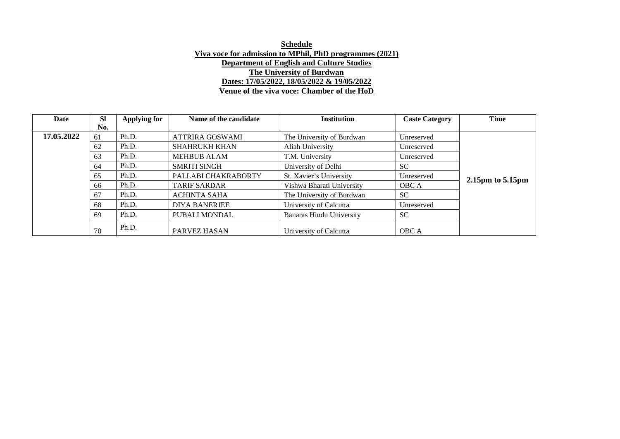| Date       | <b>SI</b> | Applying for | Name of the candidate  | <b>Institution</b>              | <b>Caste Category</b> | <b>Time</b>      |
|------------|-----------|--------------|------------------------|---------------------------------|-----------------------|------------------|
|            | No.       |              |                        |                                 |                       |                  |
| 17.05.2022 | 61        | Ph.D.        | <b>ATTRIRA GOSWAMI</b> | The University of Burdwan       | Unreserved            |                  |
|            | 62        | Ph.D.        | SHAHRUKH KHAN          | Aliah University                | Unreserved            |                  |
|            | 63        | Ph.D.        | <b>MEHBUB ALAM</b>     | T.M. University                 | Unreserved            |                  |
|            | 64        | Ph.D.        | <b>SMRITI SINGH</b>    | University of Delhi             | <b>SC</b>             |                  |
|            | 65        | Ph.D.        | PALLABI CHAKRABORTY    | St. Xavier's University         | Unreserved            | 2.15pm to 5.15pm |
|            | 66        | Ph.D.        | <b>TARIF SARDAR</b>    | Vishwa Bharati University       | <b>OBC</b> A          |                  |
|            | 67        | Ph.D.        | <b>ACHINTA SAHA</b>    | The University of Burdwan       | SC.                   |                  |
|            | 68        | Ph.D.        | <b>DIYA BANERJEE</b>   | University of Calcutta          | Unreserved            |                  |
|            | 69        | Ph.D.        | PUBALI MONDAL          | <b>Banaras Hindu University</b> | SC.                   |                  |
|            | 70        | Ph.D.        | PARVEZ HASAN           | University of Calcutta          | <b>OBC</b> A          |                  |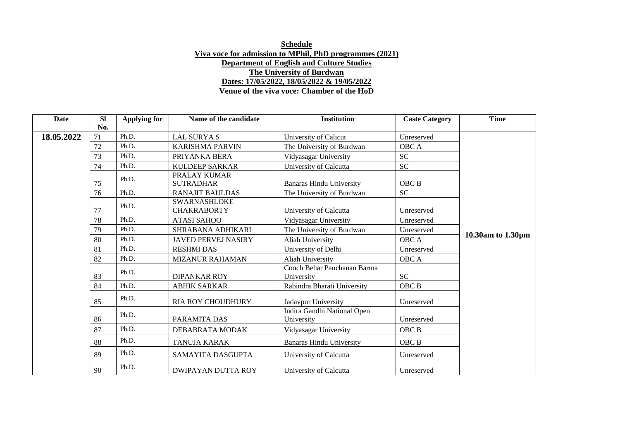| Date       | SI<br>No. | <b>Applying for</b> | Name of the candidate                     | <b>Institution</b>                        | <b>Caste Category</b> | <b>Time</b>       |
|------------|-----------|---------------------|-------------------------------------------|-------------------------------------------|-----------------------|-------------------|
| 18.05.2022 | 71        | Ph.D.               | <b>LAL SURYA S</b>                        | University of Calicut                     | Unreserved            |                   |
|            | 72        | Ph.D.               | <b>KARISHMA PARVIN</b>                    | The University of Burdwan                 | OBC A                 |                   |
|            | 73        | Ph.D.               | PRIYANKA BERA                             | Vidyasagar University                     | <b>SC</b>             |                   |
|            | 74        | Ph.D.               | <b>KULDEEP SARKAR</b>                     | University of Calcutta                    | <b>SC</b>             |                   |
|            | 75        | Ph.D.               | PRALAY KUMAR<br><b>SUTRADHAR</b>          | <b>Banaras Hindu University</b>           | OBC B                 |                   |
|            | 76        | Ph.D.               | <b>RANAJIT BAULDAS</b>                    | The University of Burdwan                 | ${\rm SC}$            |                   |
|            | 77        | Ph.D.               | <b>SWARNASHLOKE</b><br><b>CHAKRABORTY</b> | University of Calcutta                    | Unreserved            |                   |
|            | 78        | Ph.D.               | <b>ATASI SAHOO</b>                        | Vidyasagar University                     | Unreserved            |                   |
|            | 79        | Ph.D.               | SHRABANA ADHIKARI                         | The University of Burdwan                 | Unreserved            |                   |
|            | 80        | Ph.D.               | <b>JAVED PERVEJ NASIRY</b>                | Aliah University                          | <b>OBC</b> A          | 10.30am to 1.30pm |
|            | 81        | Ph.D.               | <b>RESHMI DAS</b>                         | University of Delhi                       | Unreserved            |                   |
|            | 82        | Ph.D.               | <b>MIZANUR RAHAMAN</b>                    | Aliah University                          | OBC A                 |                   |
|            | 83        | Ph.D.               | <b>DIPANKAR ROY</b>                       | Cooch Behar Panchanan Barma<br>University | <b>SC</b>             |                   |
|            | 84        | Ph.D.               | <b>ABHIK SARKAR</b>                       | Rabindra Bharati University               | OBC <sub>B</sub>      |                   |
|            | 85        | Ph.D.               | <b>RIA ROY CHOUDHURY</b>                  | Jadavpur University                       | Unreserved            |                   |
|            | 86        | Ph.D.               | PARAMITA DAS                              | Indira Gandhi National Open<br>University | Unreserved            |                   |
|            | 87        | Ph.D.               | DEBABRATA MODAK                           | Vidyasagar University                     | OBC B                 |                   |
|            | 88        | Ph.D.               | <b>TANUJA KARAK</b>                       | <b>Banaras Hindu University</b>           | OBC <sub>B</sub>      |                   |
|            | 89        | Ph.D.               | SAMAYITA DASGUPTA                         | University of Calcutta                    | Unreserved            |                   |
|            | 90        | Ph.D.               | <b>DWIPAYAN DUTTA ROY</b>                 | University of Calcutta                    | Unreserved            |                   |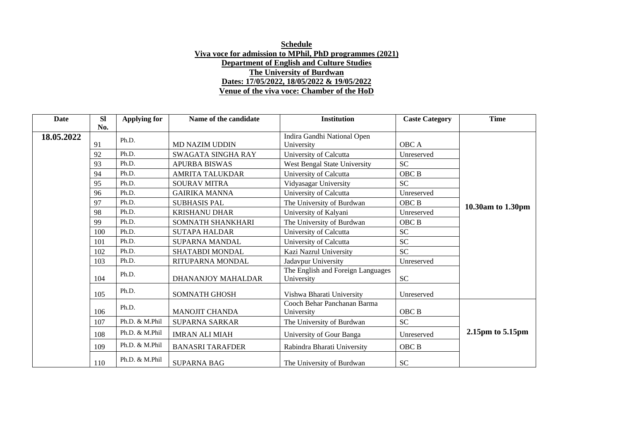| <b>Date</b> | <b>SI</b> | <b>Applying for</b> | Name of the candidate   | <b>Institution</b>                              | <b>Caste Category</b> | <b>Time</b>           |
|-------------|-----------|---------------------|-------------------------|-------------------------------------------------|-----------------------|-----------------------|
|             | No.       |                     |                         |                                                 |                       |                       |
| 18.05.2022  |           | Ph.D.               |                         | Indira Gandhi National Open                     |                       |                       |
|             | 91        |                     | <b>MD NAZIM UDDIN</b>   | University                                      | OBC A                 |                       |
|             | 92        | Ph.D.               | SWAGATA SINGHA RAY      | University of Calcutta                          | Unreserved            |                       |
|             | 93        | Ph.D.               | <b>APURBA BISWAS</b>    | West Bengal State University                    | <b>SC</b>             |                       |
|             | 94        | Ph.D.               | <b>AMRITA TALUKDAR</b>  | University of Calcutta                          | OBC B                 |                       |
|             | 95        | Ph.D.               | <b>SOURAV MITRA</b>     | Vidyasagar University                           | <b>SC</b>             |                       |
|             | 96        | Ph.D.               | <b>GAIRIKA MANNA</b>    | University of Calcutta                          | Unreserved            |                       |
|             | 97        | Ph.D.               | <b>SUBHASIS PAL</b>     | The University of Burdwan                       | OBC <sub>B</sub>      | 10.30am to 1.30pm     |
|             | 98        | Ph.D.               | <b>KRISHANU DHAR</b>    | University of Kalyani                           | Unreserved            |                       |
|             | 99        | Ph.D.               | SOMNATH SHANKHARI       | The University of Burdwan                       | OBC B                 |                       |
|             | 100       | Ph.D.               | <b>SUTAPA HALDAR</b>    | University of Calcutta                          | <b>SC</b>             |                       |
|             | 101       | Ph.D.               | <b>SUPARNA MANDAL</b>   | University of Calcutta                          | <b>SC</b>             |                       |
|             | 102       | Ph.D.               | SHATABDI MONDAL         | Kazi Nazrul University                          | <b>SC</b>             |                       |
|             | 103       | Ph.D.               | RITUPARNA MONDAL        | Jadavpur University                             | Unreserved            |                       |
|             | 104       | Ph.D.               | DHANANJOY MAHALDAR      | The English and Foreign Languages<br>University | <b>SC</b>             |                       |
|             | 105       | Ph.D.               | <b>SOMNATH GHOSH</b>    | Vishwa Bharati University                       | Unreserved            |                       |
|             | 106       | Ph.D.               | <b>MANOJIT CHANDA</b>   | Cooch Behar Panchanan Barma<br>University       | OBC <sub>B</sub>      |                       |
|             | 107       | Ph.D. & M.Phil      | <b>SUPARNA SARKAR</b>   | The University of Burdwan                       | <b>SC</b>             |                       |
|             | 108       | Ph.D. & M.Phil      | <b>IMRAN ALI MIAH</b>   | University of Gour Banga                        | Unreserved            | $2.15pm$ to 5.15 $pm$ |
|             | 109       | Ph.D. & M.Phil      | <b>BANASRI TARAFDER</b> | Rabindra Bharati University                     | OBC <sub>B</sub>      |                       |
|             | 110       | Ph.D. & M.Phil      | <b>SUPARNA BAG</b>      | The University of Burdwan                       | <b>SC</b>             |                       |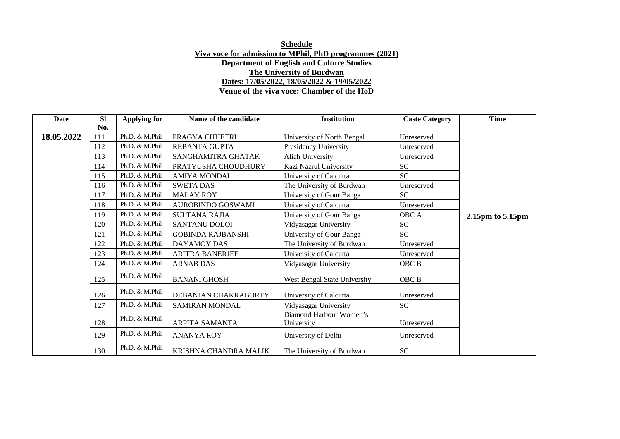| <b>Date</b> | SI  | <b>Applying for</b> | Name of the candidate    | <b>Institution</b>                    | <b>Caste Category</b> | <b>Time</b>           |
|-------------|-----|---------------------|--------------------------|---------------------------------------|-----------------------|-----------------------|
|             | No. |                     |                          |                                       |                       |                       |
| 18.05.2022  | 111 | Ph.D. & M.Phil      | PRAGYA CHHETRI           | University of North Bengal            | Unreserved            |                       |
|             | 112 | Ph.D. & M.Phil      | REBANTA GUPTA            | Presidency University                 | Unreserved            |                       |
|             | 113 | Ph.D. & M.Phil      | SANGHAMITRA GHATAK       | Aliah University                      | Unreserved            |                       |
|             | 114 | Ph.D. & M.Phil      | PRATYUSHA CHOUDHURY      | Kazi Nazrul University                | <b>SC</b>             |                       |
|             | 115 | Ph.D. & M.Phil      | <b>AMIYA MONDAL</b>      | University of Calcutta                | <b>SC</b>             |                       |
|             | 116 | Ph.D. & M.Phil      | <b>SWETA DAS</b>         | The University of Burdwan             | Unreserved            |                       |
|             | 117 | Ph.D. & M.Phil      | <b>MALAY ROY</b>         | University of Gour Banga              | <b>SC</b>             |                       |
|             | 118 | Ph.D. & M.Phil      | AUROBINDO GOSWAMI        | University of Calcutta                | Unreserved            |                       |
|             | 119 | Ph.D. & M.Phil      | <b>SULTANA RAJIA</b>     | University of Gour Banga              | OBC A                 | $2.15pm$ to 5.15 $pm$ |
|             | 120 | Ph.D. & M.Phil      | SANTANU DOLOI            | Vidyasagar University                 | <b>SC</b>             |                       |
|             | 121 | Ph.D. & M.Phil      | <b>GOBINDA RAJBANSHI</b> | University of Gour Banga              | <b>SC</b>             |                       |
|             | 122 | Ph.D. & M.Phil      | <b>DAYAMOY DAS</b>       | The University of Burdwan             | Unreserved            |                       |
|             | 123 | Ph.D. & M.Phil      | <b>ARITRA BANERJEE</b>   | University of Calcutta                | Unreserved            |                       |
|             | 124 | Ph.D. & M.Phil      | <b>ARNAB DAS</b>         | Vidyasagar University                 | OBC <sub>B</sub>      |                       |
|             | 125 | Ph.D. & M.Phil      | <b>BANANI GHOSH</b>      | West Bengal State University          | OBC B                 |                       |
|             | 126 | Ph.D. & M.Phil      | DEBANJAN CHAKRABORTY     | University of Calcutta                | Unreserved            |                       |
|             | 127 | Ph.D. & M.Phil      | SAMIRAN MONDAL           | Vidyasagar University                 | SC                    |                       |
|             | 128 | Ph.D. & M.Phil      | ARPITA SAMANTA           | Diamond Harbour Women's<br>University | Unreserved            |                       |
|             | 129 | Ph.D. & M.Phil      | <b>ANANYA ROY</b>        | University of Delhi                   | Unreserved            |                       |
|             | 130 | Ph.D. & M.Phil      | KRISHNA CHANDRA MALIK    | The University of Burdwan             | SC <sub>1</sub>       |                       |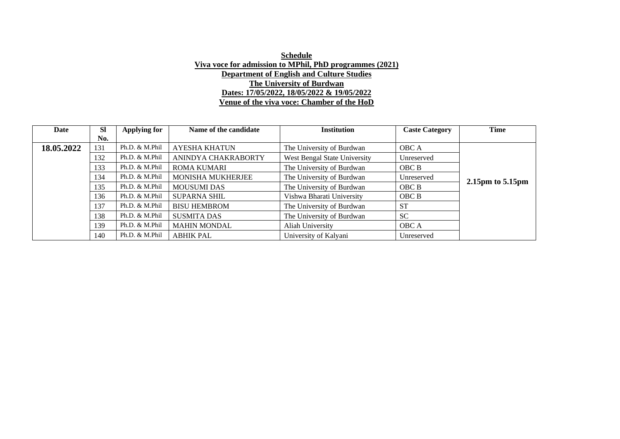| Date       | <b>SI</b> | Applying for   | Name of the candidate    | <b>Institution</b>           | <b>Caste Category</b> | <b>Time</b>           |
|------------|-----------|----------------|--------------------------|------------------------------|-----------------------|-----------------------|
|            | No.       |                |                          |                              |                       |                       |
| 18.05.2022 | 131       | Ph.D. & M.Phil | <b>AYESHA KHATUN</b>     | The University of Burdwan    | OBC A                 |                       |
|            | 132       | Ph.D. & M.Phil | ANINDYA CHAKRABORTY      | West Bengal State University | Unreserved            |                       |
|            | 133       | Ph.D. & M.Phil | <b>ROMA KUMARI</b>       | The University of Burdwan    | OBC B                 |                       |
|            | 134       | Ph.D. & M.Phil | <b>MONISHA MUKHERJEE</b> | The University of Burdwan    | Unreserved            | $2.15pm$ to 5.15 $pm$ |
|            | 135       | Ph.D. & M.Phil | <b>MOUSUMI DAS</b>       | The University of Burdwan    | OBC B                 |                       |
|            | 136       | Ph.D. & M.Phil | <b>SUPARNA SHIL</b>      | Vishwa Bharati University    | OBC B                 |                       |
|            | 137       | Ph.D. & M.Phil | <b>BISU HEMBROM</b>      | The University of Burdwan    | <b>ST</b>             |                       |
|            | 138       | Ph.D. & M.Phil | <b>SUSMITA DAS</b>       | The University of Burdwan    | <b>SC</b>             |                       |
|            | 139       | Ph.D. & M.Phil | <b>MAHIN MONDAL</b>      | Aliah University             | OBC A                 |                       |
|            | 140       | Ph.D. & M.Phil | <b>ABHIK PAL</b>         | University of Kalyani        | Unreserved            |                       |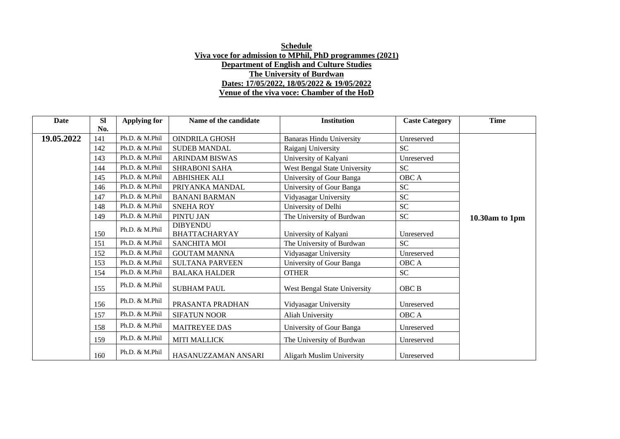| Date       | <b>SI</b> | Applying for   | Name of the candidate                   | <b>Institution</b>              | <b>Caste Category</b> | <b>Time</b>    |
|------------|-----------|----------------|-----------------------------------------|---------------------------------|-----------------------|----------------|
|            | No.       | Ph.D. & M.Phil |                                         |                                 |                       |                |
| 19.05.2022 | 141       |                | <b>OINDRILA GHOSH</b>                   | <b>Banaras Hindu University</b> | Unreserved            |                |
|            | 142       | Ph.D. & M.Phil | <b>SUDEB MANDAL</b>                     | Raiganj University              | <b>SC</b>             |                |
|            | 143       | Ph.D. & M.Phil | <b>ARINDAM BISWAS</b>                   | University of Kalyani           | Unreserved            |                |
|            | 144       | Ph.D. & M.Phil | <b>SHRABONI SAHA</b>                    | West Bengal State University    | <b>SC</b>             |                |
|            | 145       | Ph.D. & M.Phil | <b>ABHISHEK ALI</b>                     | University of Gour Banga        | OBC A                 |                |
|            | 146       | Ph.D. & M.Phil | PRIYANKA MANDAL                         | University of Gour Banga        | SC <sub>1</sub>       |                |
|            | 147       | Ph.D. & M.Phil | <b>BANANI BARMAN</b>                    | Vidyasagar University           | SC <sub>1</sub>       |                |
|            | 148       | Ph.D. & M.Phil | <b>SNEHA ROY</b>                        | University of Delhi             | <b>SC</b>             |                |
|            | 149       | Ph.D. & M.Phil | PINTU JAN                               | The University of Burdwan       | SC <sub>1</sub>       | 10.30am to 1pm |
|            | 150       | Ph.D. & M.Phil | <b>DIBYENDU</b><br><b>BHATTACHARYAY</b> | University of Kalyani           | Unreserved            |                |
|            | 151       | Ph.D. & M.Phil | <b>SANCHITA MOI</b>                     | The University of Burdwan       | <b>SC</b>             |                |
|            | 152       | Ph.D. & M.Phil | <b>GOUTAM MANNA</b>                     | Vidyasagar University           | Unreserved            |                |
|            | 153       | Ph.D. & M.Phil | <b>SULTANA PARVEEN</b>                  | University of Gour Banga        | OBC A                 |                |
|            | 154       | Ph.D. & M.Phil | <b>BALAKA HALDER</b>                    | <b>OTHER</b>                    | SC                    |                |
|            | 155       | Ph.D. & M.Phil | <b>SUBHAM PAUL</b>                      | West Bengal State University    | OBC B                 |                |
|            | 156       | Ph.D. & M.Phil | PRASANTA PRADHAN                        | Vidyasagar University           | Unreserved            |                |
|            | 157       | Ph.D. & M.Phil | <b>SIFATUN NOOR</b>                     | Aliah University                | OBC A                 |                |
|            | 158       | Ph.D. & M.Phil | <b>MAITREYEE DAS</b>                    | University of Gour Banga        | Unreserved            |                |
|            | 159       | Ph.D. & M.Phil | <b>MITI MALLICK</b>                     | The University of Burdwan       | Unreserved            |                |
|            | 160       | Ph.D. & M.Phil | HASANUZZAMAN ANSARI                     | Aligarh Muslim University       | Unreserved            |                |